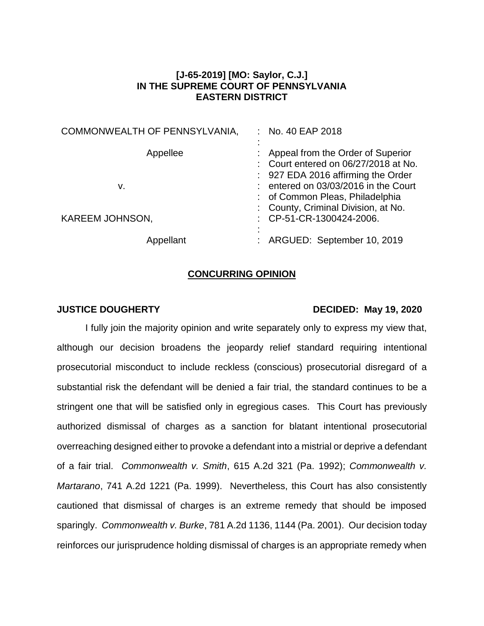## **[J-65-2019] [MO: Saylor, C.J.] IN THE SUPREME COURT OF PENNSYLVANIA EASTERN DISTRICT**

| COMMONWEALTH OF PENNSYLVANIA, | : No. 40 EAP 2018                                                                                                                                         |
|-------------------------------|-----------------------------------------------------------------------------------------------------------------------------------------------------------|
| Appellee<br>v.                | : Appeal from the Order of Superior<br>: Court entered on 06/27/2018 at No.<br>: 927 EDA 2016 affirming the Order<br>: entered on 03/03/2016 in the Court |
| KAREEM JOHNSON,               | : of Common Pleas, Philadelphia<br>: County, Criminal Division, at No.<br>: CP-51-CR-1300424-2006.                                                        |
| Appellant                     | : ARGUED: September 10, 2019                                                                                                                              |

## **CONCURRING OPINION**

## **JUSTICE DOUGHERTY DECIDED: May 19, 2020**

I fully join the majority opinion and write separately only to express my view that, although our decision broadens the jeopardy relief standard requiring intentional prosecutorial misconduct to include reckless (conscious) prosecutorial disregard of a substantial risk the defendant will be denied a fair trial, the standard continues to be a stringent one that will be satisfied only in egregious cases. This Court has previously authorized dismissal of charges as a sanction for blatant intentional prosecutorial overreaching designed either to provoke a defendant into a mistrial or deprive a defendant of a fair trial. *Commonwealth v. Smith*, 615 A.2d 321 (Pa. 1992); *Commonwealth v. Martarano*, 741 A.2d 1221 (Pa. 1999). Nevertheless, this Court has also consistently cautioned that dismissal of charges is an extreme remedy that should be imposed sparingly. *Commonwealth v. Burke*, 781 A.2d 1136, 1144 (Pa. 2001). Our decision today reinforces our jurisprudence holding dismissal of charges is an appropriate remedy when